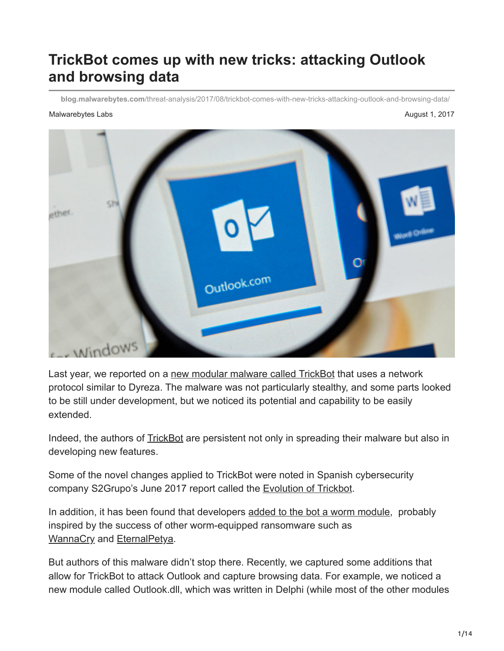# **TrickBot comes up with new tricks: attacking Outlook and browsing data**

**blog.malwarebytes.com**[/threat-analysis/2017/08/trickbot-comes-with-new-tricks-attacking-outlook-and-browsing-data/](https://blog.malwarebytes.com/threat-analysis/2017/08/trickbot-comes-with-new-tricks-attacking-outlook-and-browsing-data/)

#### Malwarebytes Labs August 1, 2017



Last year, we reported on a [new modular malware called TrickBot](https://blog.malwarebytes.com/threat-analysis/2016/10/trick-bot-dyrezas-successor/) that uses a network protocol similar to Dyreza. The malware was not particularly stealthy, and some parts looked to be still under development, but we noticed its potential and capability to be easily extended.

Indeed, the authors of **TrickBot** are persistent not only in spreading their malware but also in developing new features.

Some of the novel changes applied to TrickBot were noted in Spanish cybersecurity company S2Grupo's June 2017 report called the [Evolution of Trickbot.](https://www.securityartwork.es/wp-content/uploads/2017/07/Trickbot-report-S2-Grupo.pdf)

In addition, it has been found that developers [added to the bot a worm module,](https://www.flashpoint-intel.com/blog/new-version-trickbot-adds-worm-propagation-module/) probably inspired by the success of other worm-equipped ransomware such as [WannaCry](https://blog.malwarebytes.com/threat-analysis/2017/05/the-worm-that-spreads-wanacrypt0r/) and [EternalPetya.](https://blog.malwarebytes.com/cybercrime/2017/06/petya-esque-ransomware-is-spreading-across-the-world/)

But authors of this malware didn't stop there. Recently, we captured some additions that allow for TrickBot to attack Outlook and capture browsing data. For example, we noticed a new module called Outlook.dll, which was written in Delphi (while most of the other modules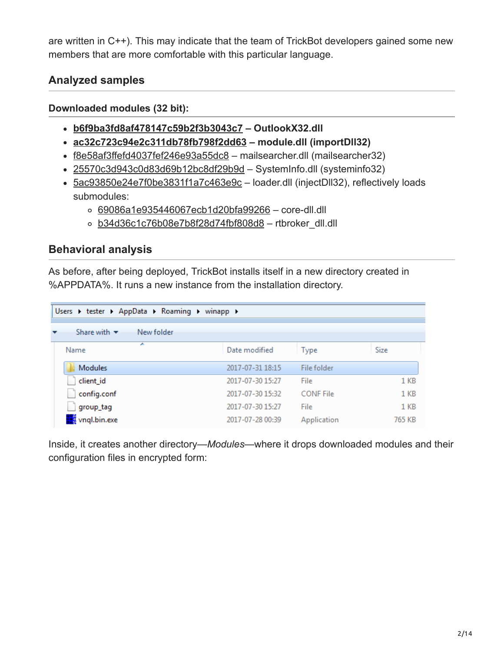are written in C++). This may indicate that the team of TrickBot developers gained some new members that are more comfortable with this particular language.

# **Analyzed samples**

#### **Downloaded modules (32 bit):**

- **[b6f9ba3fd8af478147c59b2f3b3043c7](https://virustotal.com/en/file/d3ec8f4a46b21fb189fc3d58f3d87bf9897653ecdf90b7952dcc71f3b4023b4e/analysis/)  OutlookX32.dll**
- **[ac32c723c94e2c311db78fb798f2dd63](https://virustotal.com/en/file/5f13e8151fa80d8a85b4831fe79ec719b0c4e76693b8f7ca390e48b4abc9b179/analysis/1501507903/)  module.dll (importDll32)**
- [f8e58af3ffefd4037fef246e93a55dc8](https://virustotal.com/en/file/df9b37477a83189cd4541674e64ce29bf7bf98338ed0d635276660e0c6419d09/analysis/) mailsearcher.dll (mailsearcher32)
- [25570c3d943c0d83d69b12bc8df29b9d](https://virustotal.com/en/file/7598c98926dd870969c80036f9a9584d1dbc7b81fae61018a6d34a2de640b870/analysis/1501507907/) SystemInfo.dll (systeminfo32)
- [5ac93850e24e7f0be3831f1a7c463e9c](https://virustotal.com/en/file/c7553b1f5a178c8ef8863045e8c0c0f2e89f4affde89c3ac3b62c663446c5089/analysis/)  loader.dll (injectDll32), reflectively loads submodules:
	- [69086a1e935446067ecb1d20bfa99266](https://virustotal.com/en/file/16a7b338e48b6d99c9afe57a72b898411eda586647b25ad6709735807c966fb2/analysis/1501512045/) core-dll.dll
	- o [b34d36c1c76b08e7b8f28d74fbf808d8](https://virustotal.com/en/file/0e0d9bce079aaba3c29b049678981eb28e05744d28ce94c41612ce67f19cc9dc/analysis/1501512035/) rtbroker\_dll.dll

## **Behavioral analysis**

As before, after being deployed, TrickBot installs itself in a new directory created in %APPDATA%. It runs a new instance from the installation directory.

| Users > tester > AppData > Roaming > winapp > |                  |                  |                 |  |  |  |  |
|-----------------------------------------------|------------------|------------------|-----------------|--|--|--|--|
| Share with $\blacktriangledown$<br>New folder |                  |                  |                 |  |  |  |  |
| ≖<br>Name                                     | Date modified    | Type             | Size            |  |  |  |  |
| <b>Modules</b>                                | 2017-07-31 18:15 | File folder      |                 |  |  |  |  |
| client id                                     | 2017-07-30 15:27 | File             | $1$ KB          |  |  |  |  |
| config.conf                                   | 2017-07-30 15:32 | <b>CONF File</b> | $1$ KB          |  |  |  |  |
| group_tag                                     | 2017-07-30 15:27 | File             | 1 <sub>KB</sub> |  |  |  |  |
| <b>We vngl.bin.exe</b>                        | 2017-07-28 00:39 | Application      | 765 KB          |  |  |  |  |

Inside, it creates another directory—*Modules—*where it drops downloaded modules and their configuration files in encrypted form: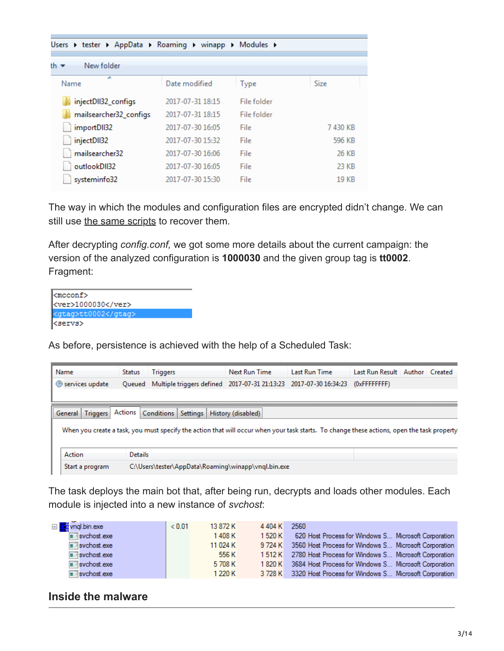| Users > tester > AppData > Roaming > winapp > Modules > |                  |             |         |  |  |  |
|---------------------------------------------------------|------------------|-------------|---------|--|--|--|
| New folder<br>th ▼                                      |                  |             |         |  |  |  |
| ┻<br>Name                                               | Date modified    | <b>Type</b> | Size    |  |  |  |
| injectDII32_configs                                     | 2017-07-31 18:15 | File folder |         |  |  |  |
| mailsearcher32_configs                                  | 2017-07-31 18:15 | File folder |         |  |  |  |
| importDII32                                             | 2017-07-30 16:05 | File        | 7430 KB |  |  |  |
| injectDII32                                             | 2017-07-30 15:32 | File        | 596 KB  |  |  |  |
| mailsearcher32                                          | 2017-07-30 16:06 | File        | 26 KB   |  |  |  |
| outlookDII32                                            | 2017-07-30 16:05 | File        | 23 KB   |  |  |  |
| systeminfo32                                            | 2017-07-30 15:30 | File        | 19 KB   |  |  |  |

The way in which the modules and configuration files are encrypted didn't change. We can still use [the same scripts](https://github.com/hasherezade/malware_analysis/tree/master/trickbot) to recover them.

After decrypting *config.conf,* we got some more details about the current campaign: the version of the analyzed configuration is **1000030** and the given group tag is **tt0002**. Fragment:

| <mcconf><br/><ver>1000030</ver><br/><gtag>tt0002</gtag><br/><servs></servs></mcconf> |  |
|--------------------------------------------------------------------------------------|--|
|                                                                                      |  |
|                                                                                      |  |
|                                                                                      |  |

As before, persistence is achieved with the help of a Scheduled Task:

| Name                         | <b>Status</b>  | <b>Triggers</b> |          | Next Run Time                                       | Last Run Time                                                                                                                              | Last Run Result Author Created |  |
|------------------------------|----------------|-----------------|----------|-----------------------------------------------------|--------------------------------------------------------------------------------------------------------------------------------------------|--------------------------------|--|
| Services update              | Oueued         |                 |          | Multiple triggers defined 2017-07-31 21:13:23       | 2017-07-30 16:34:23                                                                                                                        | $(0x$ FFFFFFFFF                |  |
|                              |                |                 |          |                                                     |                                                                                                                                            |                                |  |
|                              |                |                 |          |                                                     |                                                                                                                                            |                                |  |
| <b>Triggers</b><br>General I | Actions        | Conditions      | Settings | History (disabled)                                  |                                                                                                                                            |                                |  |
|                              |                |                 |          |                                                     | When you create a task, you must specify the action that will occur when your task starts. To change these actions, open the task property |                                |  |
|                              |                |                 |          |                                                     |                                                                                                                                            |                                |  |
|                              |                |                 |          |                                                     |                                                                                                                                            |                                |  |
| Action                       | <b>Details</b> |                 |          |                                                     |                                                                                                                                            |                                |  |
| Start a program              |                |                 |          | C:\Users\tester\AppData\Roaming\winapp\vnql.bin.exe |                                                                                                                                            |                                |  |

The task deploys the main bot that, after being run, decrypts and loads other modules. Each module is injected into a new instance of *svchost*:

| □ <b>b</b> a vnql.bin.exe           | < 0.01 | 13 872 K | 4404 K  | 2560                                                         |
|-------------------------------------|--------|----------|---------|--------------------------------------------------------------|
| $\blacksquare$ svchost.exe          |        | 1408K    | 1 520 K | 620 Host Process for Windows S Microsoft Corporation         |
| $\blacksquare$ svchost exe          |        | 11 024 K |         | 9724 K 3560 Host Process for Windows S Microsoft Corporation |
| $\overline{\mathbb{H}}$ svchost.exe |        | 556 K    |         | 1512 K 2780 Host Process for Windows S Microsoft Corporation |
| svchost.exe                         |        | 5708K    |         | 1820 K 3684 Host Process for Windows S Microsoft Corporation |
| svchost.exe                         |        | 1 220 K  |         | 3728 K 3320 Host Process for Windows S Microsoft Corporation |

#### **Inside the malware**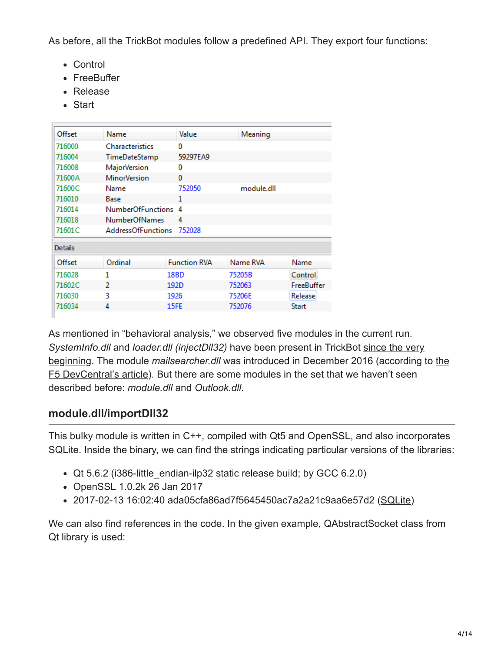As before, all the TrickBot modules follow a predefined API. They export four functions:

- Control
- FreeBuffer
- Release
- Start

| Offset         | Name                      | Value               | Meaning    |                   |
|----------------|---------------------------|---------------------|------------|-------------------|
| 716000         | <b>Characteristics</b>    | 0                   |            |                   |
| 716004         | TimeDateStamp             | 59297EA9            |            |                   |
| 716008         | MajorVersion              | 0                   |            |                   |
| 71600A         | <b>MinorVersion</b>       | 0                   |            |                   |
| 71600C         | Name                      | 752050              | module.dll |                   |
| 716010         | Base                      | 1                   |            |                   |
| 716014         | <b>NumberOfFunctions</b>  | 4                   |            |                   |
| 716018         | <b>NumberOfNames</b>      | 4                   |            |                   |
| 71601C         | <b>AddressOfFunctions</b> | 752028              |            |                   |
| <b>Details</b> |                           |                     |            |                   |
| Offset         | Ordinal                   | <b>Function RVA</b> | Name RVA   | Name              |
| 716028         | 1                         | 18BD                | 75205B     | Control           |
| 71602C         | $\mathcal{P}$             | 192D                | 752063     | <b>FreeBuffer</b> |
| 716030         | в                         | 1926                | 75206E     | Release           |
|                |                           |                     |            |                   |

As mentioned in "behavioral analysis," we observed five modules in the current run. *SystemInfo.dll* and *loader.dll (injectDll32)* have been present in TrickBot since the very beginning. The module *mailsearcher.dll* [was introduced in December 2016 \(according t](https://blog.malwarebytes.com/threat-analysis/2016/10/trick-bot-dyrezas-successor/)o the [F5 DevCentral's article\). But there are some modules in the set that we haven't seen](https://devcentral.f5.com/articles/is-xmaker-the-new-trickloader-24372) described before: *module.dll* and *Outlook.dll*.

## **module.dll/importDll32**

This bulky module is written in C++, compiled with Qt5 and OpenSSL, and also incorporates SQLite. Inside the binary, we can find the strings indicating particular versions of the libraries:

- Qt 5.6.2 (i386-little\_endian-ilp32 static release build; by GCC 6.2.0)
- OpenSSL 1.0.2k 26 Jan 2017
- 2017-02-13 16:02:40 ada05cfa86ad7f5645450ac7a2a21c9aa6e57d2 ([SQLite\)](https://www.sqlite.org/releaselog/3_17_0.html)

We can also find references in the code. In the given example, **[QAbstractSocket class](http://doc.qt.io/qt-5/qabstractsocket.html)** from Qt library is used: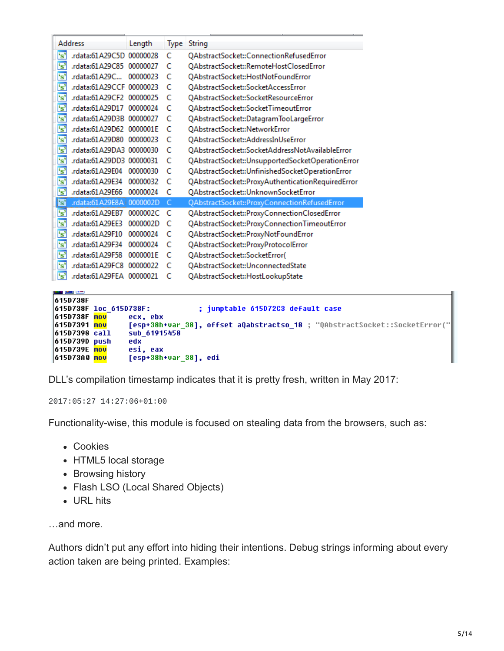| Address<br>Length                                   |     | <b>Type String</b>                                                         |
|-----------------------------------------------------|-----|----------------------------------------------------------------------------|
| 's'<br>.rdata:61A29C5D 00000028                     | C   | QAbstractSocket::ConnectionRefusedError                                    |
| 's'<br>.rdata:61A29C85 00000027                     | C   | OAbstractSocket::RemoteHostClosedError                                     |
| 's'<br>.rdata:61A29C<br>00000023                    | C   | QAbstractSocket::HostNotFoundError                                         |
| $\overline{\mathbf{s}}$<br>.rdata:61A29CCF 00000023 | C   | OAbstractSocket::SocketAccessError                                         |
| $\mathbf{s}$<br>.rdata:61A29CF2 00000025            | C   | QAbstractSocket::SocketResourceError                                       |
| 's'<br>.rdata:61A29D17 00000024                     | c   | QAbstractSocket::SocketTimeoutError                                        |
| 's'<br>.rdata:61A29D3B 00000027                     | C   | QAbstractSocket::DatagramTooLargeError                                     |
| 's'<br>.rdata:61A29D62 0000001E                     | C   | QAbstractSocket::NetworkError                                              |
| 's'<br>rdata:61A29D80 00000023                      | C   | QAbstractSocket::AddressInUseError                                         |
| $\mathbf{s}$<br>.rdata:61A29DA3 00000030            | C   | QAbstractSocket::SocketAddressNotAvailableError                            |
| $\overline{\mathbf{s}}$<br>.rdata:61A29DD3 00000031 | C   | QAbstractSocket::UnsupportedSocketOperationError                           |
| 's'<br>rdata:61A29E04 00000030                      | - C | QAbstractSocket::UnfinishedSocketOperationError                            |
| 's'<br>rdata:61A29E34.<br>00000032                  | - C | QAbstractSocket::ProxyAuthenticationRequiredError                          |
| 's'<br>.rdata:61A29E66 00000024                     | c   | QAbstractSocket::UnknownSocketError                                        |
| ls'<br>.rdata:61A29E8A   0000002D                   | C   | QAbstractSocket::ProxyConnectionRefusedError                               |
| s<br>.rdata:61A29EB7 0000002C C                     |     | QAbstractSocket::ProxyConnectionClosedError                                |
| 's'<br>.rdata:61A29EE3 0000002D C                   |     | QAbstractSocket::ProxyConnectionTimeoutError                               |
| 's'<br>rdata:61A29F10.<br>00000024                  | C   | QAbstractSocket::ProxyNotFoundError                                        |
| 's'<br>rdata:61A29F34.<br>00000024                  | - C | QAbstractSocket::ProxyProtocolError                                        |
| 's'<br>rdata:61A29F58.<br>0000001E                  | - C | QAbstractSocket::SocketError(                                              |
| 's'<br>.rdata:61A29FC8 00000022                     | C   | QAbstractSocket::UnconnectedState                                          |
| i's'<br>.rdata:61A29FEA 00000021                    | -C  | QAbstractSocket::HostLookupState                                           |
| ص ک پ                                               |     |                                                                            |
| 615D738F                                            |     |                                                                            |
| 615D738F loc 615D738F:                              |     | jumptable 615D72C3 default case<br>÷                                       |
| 615D738F mou<br>ecx, ebx<br>615D7391 mou            |     | [esp+38h+var_38], offset aQabstractso_18 ; "QAbstractSocket::SocketError(" |
| sub 61915458<br>615D7398 call                       |     |                                                                            |
| edx<br>615D739D push                                |     |                                                                            |
| 615D739E mou<br>esi, eax                            |     |                                                                            |
| 615D73A0 <mark>mov</mark><br>[esp+38h+var_38], edi  |     |                                                                            |

DLL's compilation timestamp indicates that it is pretty fresh, written in May 2017:

2017:05:27 14:27:06+01:00

Functionality-wise, this module is focused on stealing data from the browsers, such as:

- Cookies
- HTML5 local storage
- Browsing history
- Flash LSO (Local Shared Objects)
- URL hits

…and more.

Authors didn't put any effort into hiding their intentions. Debug strings informing about every action taken are being printed. Examples: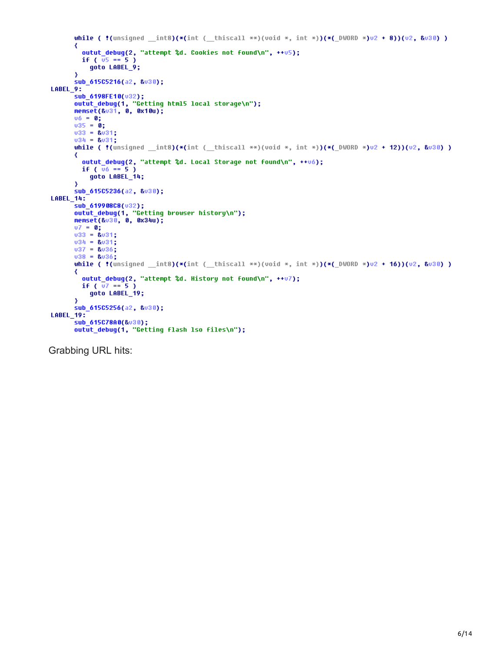```
while ( \frac{1}{2} (unsigned __int8)(*(int ( __thiscall **)(void *, int *))(*( DWORD *)v2 + 8))(v2, &v30))
       ₹
         outut_debug(2, "attempt %d. Cookies not found\n", ++v5);
         if (\overline{u}5 == 5)
            goto LABEL_9;
       ₹
       sub_615C5216(a2, &v30);
LABEL_9:
      _y:<br>|sub_6198FE10(v32);<br>|outut_debug(1, "Getting html5 local storage\n");<br>|memset(&v31, 0, 0x10u);<br>|v6 = 0;
       \begin{array}{rcl} 06 & = & 0; \\ 035 & = & 0; \end{array}033 = 8031;
       034 = 8031;while ( !( unsigned _int8)(*(int (_thiscall **)(void *, int *))(*(_DWORD *)u2 + 12))(u2, &u30))
       К
         outut_debug(2, "attempt %d. Local Storage not found\n", ++v6);
         if (\bar{v}_6 = 5)
            goto LABEL_14;
       ₹
       sub 61505236(a2, &v30);
LABEL_14:sub 619908C8(v32);
       outut_debug(1, "Getting browser history\n");<br>memset(&u30, 0, 0x34u);
       07 = 0;\sqrt{33} = 8\sqrt{31}034 = 8031;037 = 8036;038 = 8036;while ( !( unsigned _int8)(*(int ( _thiscall **)(void *, int *))(*(_DWORD *)u2 + 16))(u2, &u30))
       ₹
         outut_debug(2, "attempt %d. History not found\n", ++v7);
         if (\bar{v7} == 5)goto LABEL_19;
       ₹
       sub_615C5256(a2, &v30);
LABEL_19:sub_615C78A0(&v30);
       outut_debug(1, "Getting flash lso files\n");
```
Grabbing URL hits: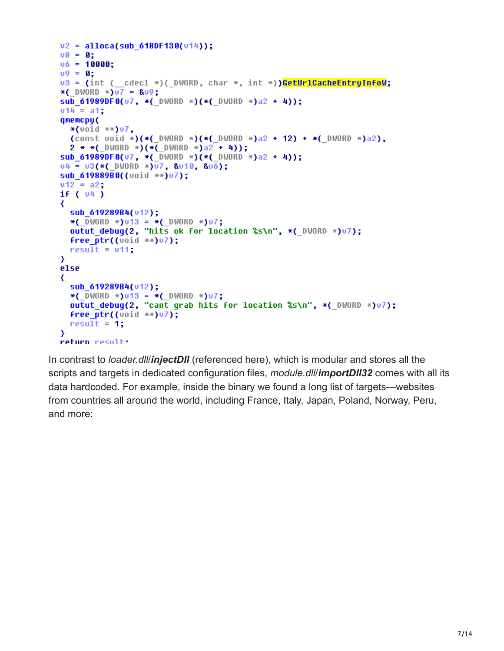```
v2 = alloca(sub 618DF130(v14));
v8 = 0;v6 = 10000;09 = 0;v3 = (int ( _cdecl *)( _DWORD, char *, int *)) CetUrlCacheEntryInfoW;
*( DWORD *)u7 = 8u9;
sub 61989DF8(v7, *( DWORD *)(*( DWORD *)a2 + 4));
v14 = a1:
qmemcpy(
  *(\text{void } **)\cup 7,(const void *)(*( DWORD *)(*( DWORD *)a2 + 12) + *( DWORD *)a2),
  2 * *( DWORD *)(*( DWORD *)a2 + 4));
sub_61989DF0(u7, *(_DWORD *)(*(_DWORD *)a2 + 4));
04 = 03 (* ( DWORD *)07, &010, &06);
sub 619889B0((void **)v7);
v12 = a2:
if (v4)₹
  sub 619289B4(v12);
  *( \overline{D}WORD *1013 = * ( DWORD *)07;
  outut debug(2, "hits ok for location %s\n", *( DWORD *)v7);
 free ptr((void **)v7);
 result = v11;Y
else
₹
  sub 619289B4(u12):
  *( DWORD *)v13 = *( DWORD *)v7;
  outut debug(2, "cant grab hits for location %s\n", *( DWORD *)v7);
  free ptr((void **)07);
 result = 1:У
return result:
```
In contrast to *loader.dll/injectDII* (referenced [here\)](https://blog.malwarebytes.com/threat-analysis/2016/10/trick-bot-dyrezas-successor/), which is modular and stores all the scripts and targets in dedicated configuration files, *module.dll*/*importDll32* comes with all its data hardcoded. For example, inside the binary we found a long list of targets—websites from countries all around the world, including France, Italy, Japan, Poland, Norway, Peru, and more: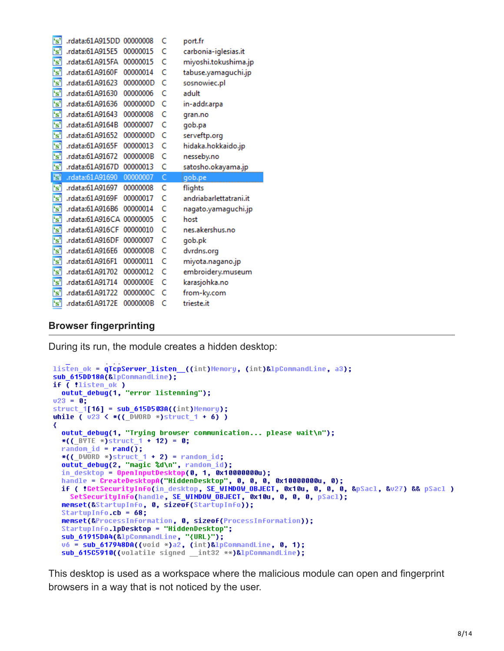| $\mathbf{s}$            | .rdata:61A915DD          | 00000008 | C | port.fr                |
|-------------------------|--------------------------|----------|---|------------------------|
| $\mathbf{s}$            | .rdata:61A915E5          | 00000015 | C | carbonia-iglesias.it   |
| $^{\circ}$ s'           | .rdata:61A915FA          | 00000015 | c | miyoshi.tokushima.jp   |
| 's'                     | .rdata:61A9160F          | 00000014 | C | tabuse.yamaguchi.jp    |
| 's'                     | .rdata:61A91623          | 0000000D | c | sosnowiec.pl           |
| $^{\sim}$               | .rdata:61A91630          | 00000006 | C | adult                  |
| $\overline{\mathbf{s}}$ | .rdata:61A91636          | 0000000D | Ċ | in-addr.arpa           |
| 's'                     | rdata:61A91643           | 00000008 | c | gran.no                |
| $\overline{\mathbf{s}}$ | .rdata:61A9164B          | 00000007 | C | gob.pa                 |
| 's'                     | .rdata:61A91652          | 0000000D | C | serveftp.org           |
| 's'                     | .rdata:61A9165F          | 00000013 | c | hidaka.hokkaido.jp     |
| 's'                     | .rdata:61A91672          | 0000000B | c | nesseby.no             |
| 's'                     | .rdata:61A9167D          | 00000013 | c | satosho.okayama.jp     |
|                         |                          |          |   |                        |
| 's'                     | .rdata:61A91690          | 00000007 | Ċ | gob.pe                 |
| $\mathbf{s}$            | rdata:61A91697.          | 00000008 | C | flights                |
| 's'                     | .rdata:61A9169F          | 00000017 | c | andriabarlettatrani.it |
| 's'                     | .rdata:61A916B6          | 00000014 | C | nagato.yamaguchi.jp    |
| 's'                     | .rdata:61A916CA 00000005 |          | C | host                   |
| $\mathbf{s}$            | .rdata:61A916CF          | 00000010 | C | nes.akershus.no        |
| 's'                     | .rdata:61A916DF          | 00000007 | Ć | gob.pk                 |
| 's'                     | .rdata:61A916E6          | 0000000B | c | dvrdns.org             |
| 's'                     | .rdata:61A916F1          | 00000011 | C | miyota.nagano.jp       |
| 's'                     | .rdata:61A91702          | 00000012 | C | embroidery.museum      |
| 's'                     | .rdata:61A91714          | 0000000E | C | karasjohka.no          |
| 's'<br>'s'              | rdata:61A91722           | 0000000C | c | from-ky.com            |

#### **Browser fingerprinting**

During its run, the module creates a hidden desktop:

```
listen ok = qTcpServer_listen ((int)Memory, (int)&lpCommandLine, a3);
sub_615DD18A(&lpCommandLine);
if <math>\overline{()}</math> 11isten_0k)outut_debug(1, "error listenning");
023 = 0;struct_1[16] = sub_615D503A((int)Memory);while \overline{()} \overline{023} \leftarrow *(( \overline{O}WORD *)struct 1 + 6) )
₹
  outut_debug(1, "Trying browser communication... please wait\n");
  *(( BYTE *)struct 1 + 12) = 0;
  random id = rand();
  *((\_DWORD *)struct_1 + 2) = random_id;
  outut_debug(2, "magic %d\n", random_id);
  in desktop = OpenInputDesktop(0, 1, 0x100000000);
  handle = CreateDesktopA("HiddenDesktop", 0, 0, 0, 0x10000000u, 0);<br>if ( !GetSecurityInfo(in_desktop, SE_WINDOW_OBJECT, 0x10u, 0, 0, 0, &pSacl, &v27) && pSacl )
    SetSecurityInfo(handle, SE WINDOW OBJECT, 0x10u, 0, 0, 0, pSacl);
  memset(&StartupInfo, 0, sizeof(StartupInfo));
  StartupInfo.cb = 68;memset(&ProcessInformation, 0, sizeof(ProcessInformation));
  StartupInfo.1pDesktop = "HiddenDesktop";
  sub_61915DA4(&lpCommandLine, '{URL}");<br>v6 = sub_617948DA((void *)a2, (int)&lpCommandLine, 0, 1);
  sub_615C5910((volatile signed _int32 **)&lpCommandLine);
```
This desktop is used as a workspace where the malicious module can open and fingerprint browsers in a way that is not noticed by the user.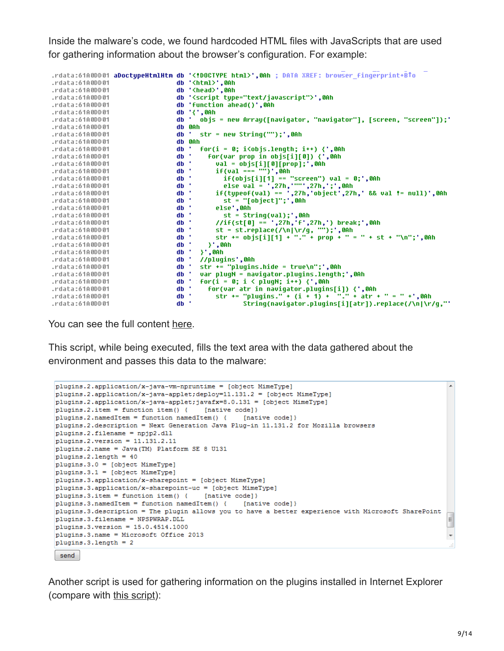Inside the malware's code, we found hardcoded HTML files with JavaScripts that are used for gathering information about the browser's configuration. For example:

|                 |  | .rdata:61A0DD01 aDoctypeHtmlHtm db ' html ',0Ah ; DATA XREF: browser fingerprint+BTo |
|-----------------|--|--------------------------------------------------------------------------------------|
| .rdata:61A0DD01 |  | db ' <html>',0Ah</html>                                                              |
| .rdata:61A0DD01 |  | db ' <head>',0Ah</head>                                                              |
| .rdata:61A0DD01 |  | db ' <script type="text/javascript"></script>                                        |

You can see the full content [here](https://gist.github.com/hasherezade/309d3cbfa7f3cd2115b67beb264d999f#file-fingerprint2-html).

This script, while being executed, fills the text area with the data gathered about the environment and passes this data to the malware:

```
pluqins.2.application/x-java-vm-npruntime = [object MimeType]
plugins.2.application/x-java-applet;deploy=11.131.2 = [object MimeType]
plugins.2.application/x-java-applet;javafx=8.0.131 = [object MimeType]
plugins. 2. item = function item () { [native code] }
plugins.2.namedItem = function namedItem() { [native code]}
plugins.2.description = Next Generation Java Plug-in 11.131.2 for Mozilla browsers
plugins.2.filename = npjp2.dll
pluqins.2, version = 11.131.2.11plugins.2.name = Java(TM) Platform SE 8 U131
plugging.2.length = 40plugins.3.0 = [object MimeType]
plugging 3.1 = [object MimeType]plugins.3.application/x-sharepoint = [object MimeType]
plugins.3.application/x-sharepoint-uc = [object MimeType]
plugins.3.item = function item() { [native code]}
plugins.3.namedItem = function namedItem() { [native code]}
plugins.3.description = The plugin allows you to have a better experience with Microsoft SharePoint
plugins.3.filename = NPSPWRAP.DLL
                                                                                                     \equivplugins.3. version = 15.0.4514.1000plugins.3.name = Microsoft Office 2013
plugins. 3. length = 2send
```
Another script is used for gathering information on the plugins installed in Internet Explorer (compare with [this script](http://www.darkwavetech.com/fingerprint/fingerprint_plugin.html)):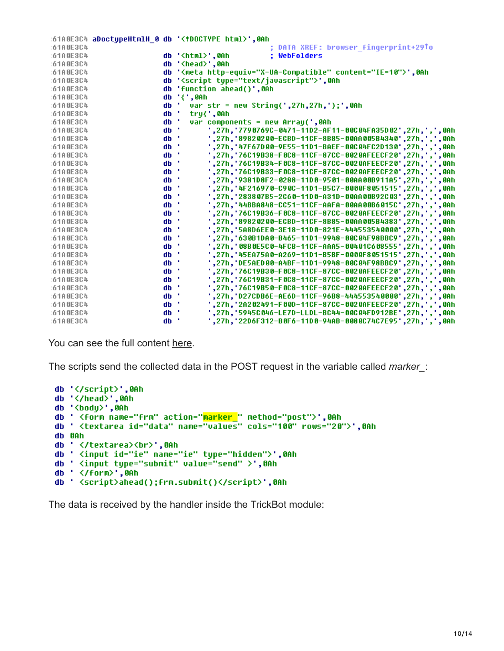|           |  | :61A0E3C4 aDoctypeHtmlH 0 db ' html ',0Ah                       |
|-----------|--|-----------------------------------------------------------------|
| :6100E3C4 |  | ; DATA XREF: browser fingerprint+29To                           |
| :61A0E3C4 |  | ; WebFolders<br>db ' <html>'.0Ah</html>                         |
| :61A0E3C4 |  | db ' <head>',0Ah</head>                                         |
| :61A0E3C4 |  | db ' <meta content="IE=10" http-equiv="X-UA-Compatible"/> ',0Ah |
| :61A0E3C4 |  | db ' <script type="text/javascript"></script>                   |

You can see the full content [here](https://gist.github.com/hasherezade/309d3cbfa7f3cd2115b67beb264d999f#file-fingerprint1-html).

The scripts send the collected data in the POST request in the variable called *marker\_*:

```
db '</script>',0Ah
db '</head>',0Ah<br>db '<br/>body>',0Ah
db ' <form name="frm" action="<mark>marker_</mark>" method="post">',0Ah
db ' <textarea id="data" name="values" cols="100" rows="20">',0Ah
db 0Ah
db ' </textarea><br>',0Ah
db ' <input id="ie" name="ie" type="hidden">',0Ah
db ' <input type="submit" value="send" >',0Ah
db ' </form>',0Ah
db ' <script>ahead();frm.submit()</script>',0Ah
```
The data is received by the handler inside the TrickBot module: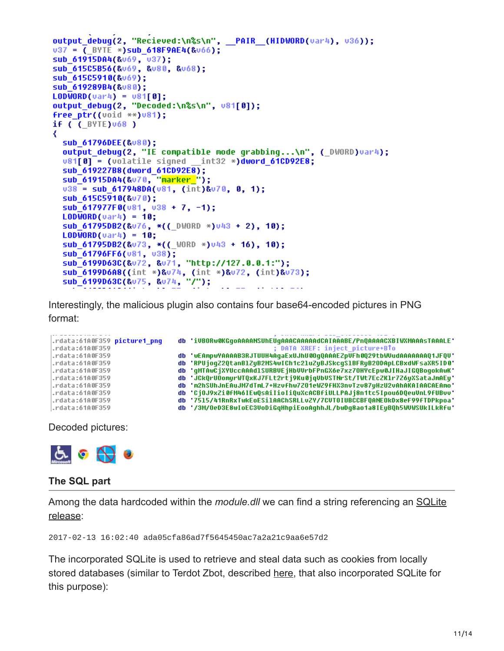```
output debug(2, "Recieved:\n%s\n", _PAIR (HIDWORD(var4), v36));
u37 = ( BYTE *) sub 618F9AE4(&v66);
sub_61915DA4(&v69, v37);
sub 61505856(&v69, &v80, &v68);
sub 61505910(&v69);
sub 619289B4(&v80);
LODWORD(var4) = v81[8];
output debuq(2, "Decoded:\n%s\n", v81[0]);
free_ptr((void **)v81);
if ( (BYTE)068 )
∢
  sub 61796DEE(&v80);
  output_debug(2, "IE compatible mode grabbing...\n", (_DWORD)var4);
  v81[8] = (vola title signed int32 *)dword 61CD92E8;sub 619227B8(dword 61CD92E8);
  sub_61915DA4(&v70, "marker_");
  v38 = sub_617948DA(v81, (int)8v78, 8, 1);sub_615C5910(&v70);
  sub_617977F0(v81, v38 + 7, -1);
  LODWORD(var4) = 10;sub_61795DB2(&v76, *((_DWORD *)v43 + 2), 10);
  LODWORD(var4) = 10;sub 61795DB2(&v73, *(( WORD *)v43 + 16), 10);
  sub_61796FF6(v81, v38);
  sub_6199D63C(&v72, &v71, "http://127.0.0.1:");<br>sub_6199D6A8((int *)&v74, (int *)&v72, (int)&v73);
  sub_6199D63C(&v75, &v74, "/");
```
Interestingly, the malicious plugin also contains four base64-encoded pictures in PNG format:

```
db 'iVBORw0KGqoAAAANSUhEUqAAACAAAAAdCAIAAABE/Pn0AAAACXBIWXMAAAsTAAALE'
.rdata:61A0F359 picture1 pnq
rdata:61A0F359.
                                                         ; DATA XREF: inject_picture+BTo
rdata:61A0F359
                                db 'wEAmpwYAAAAB3RJTUUH4AqaExUJhU00qQAAAEZpVFh0Q29tbWVudAAAAAAAQ1JFQV'
                                db 'RPUjogZ2QtanB1ZyB2MS4wICh1c21uZyBJSkcgS1BFRyB2ODApLCBxdWFsaXR5ID0'
rdata:61A0F359.
.rdata:61A0F359
                                db 'gMTAwCjXYUccAAAd1SURBUEjHbUUrbFPnGX6e7xz7OHYcEpw0JIHaJIGQBogokAwK'
. rdata:6100F359db 'JCkQrUOomyrWTQxKJ7FLt2rtj9Ku0jqVbVSTNrSt/TWt7EcZK1r7Z6yXSataJmAEy'
                                db 'm2hSUhJnEAuJM7dTmL7+Hzvfhw7Z01eWZ9fHX3nvTzv87yHzU2vAhAKAIAACAEAmo'
rdata:61A0F359.
                                db 'CjOJ9xZi0fM46IEwQsAiIioIiQuXcACBfiULLPAJj8n1tc5Ipou6DQeuUnL9fUBvv'
.rdata:61A0F359
rdata:61A0F359.
                                db '7515/41RnRxTwkEoESilAAChSRLLvZY/7CUTOIUBCCBFQANEOkDx8eF99fTDPkpoa'
.rdata:61A0F359
                                db '/3M/OeD3E8wIoEC3UoDiGqHhpiEooAghhJL/bwDg8ao1a8IEyBQh5WUWSUkILkRfu'
```
Decoded pictures:



#### **The SQL part**

Among the data hardcoded within the *module.dll* [we can find a string referencing an SQLite](https://www.sqlite.org/releaselog/3_17_0.html) release:

2017-02-13 16:02:40 ada05cfa86ad7f5645450ac7a2a21c9aa6e57d2

The incorporated SQLite is used to retrieve and steal data such as cookies from locally stored databases (similar to Terdot Zbot, described [here](https://blog.malwarebytes.com/cybercrime/2017/01/zbot-with-legitimate-applications-on-board/), that also incorporated SQLite for this purpose):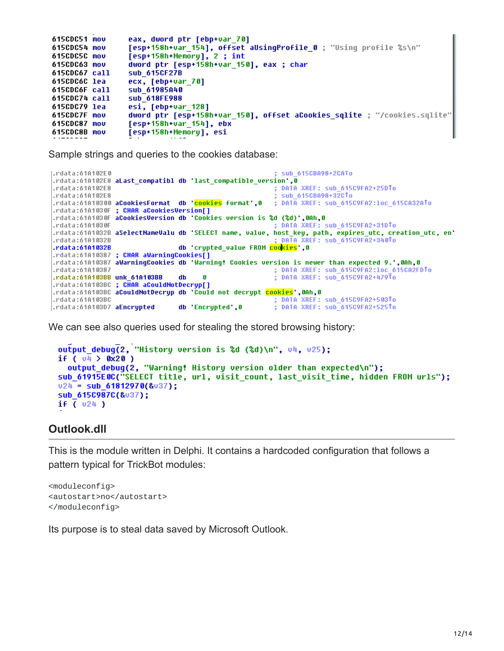```
615CDC51 mov
                 eax, dword ptr [ebp+var_70]
                 [esp+158h+var_154], offset aUsingProfile_0 ; "Using profile %s\n"
615CDC54 mov
                 [esp+158h+Memory], 2 ; int
615CDC5C mov
615CDC63 mov
                 dword ptr [esp+158h+var 150], eax ; char
615CDC67 call
                 sub 615CF27B
615CDC6C lea
                 ecx, [ebp+var_70]
615CDC6F call
                 sub_61985A40
615CDC74 call
                 sub_618FE988
615CDC79 lea
                 esi, [ebp+var_128]
                 dword ptr [esp+158h+var_150], offset aCookies_sqlite ; "/cookies.sqlite'
615CDC7F mov
615CDC87 mov
                 [esp+158h+var_154], ebx
                 [esp+158h+Memory], esi
615CDC8B mov
```
Sample strings and queries to the cookies database:

```
.rdata:61A102E0
                                                        sub 615CBA98+2CATo
; DATA XREF: sub_615C9FA2+25DTo
.rdata:61A102E8
.rdata:61A102E8
                                                        sub 615CBA98+32CTo
rdata:61A10300 aCookiesFormat db '<mark>cookies</mark> format',0.
                                                       ; DATA XREF: sub 615C9FA2:1oc 615CA32ATo
.rdata:61A1030F ; CHAR aCookiesVersion[]
.rdata:61A1030F aCookiesVersion db 'Cookies version is %d (%d)',0Ah,0
.rdata:61A1030F
                                                        DATA XREF: sub 615C9FA2+31DTo
.rdata:61A1032B aSelectNameValu db 'SELECT name, value,
                                                       host_key, path, expires_utc, creation_utc, en'
.rdata:61A1032B
                                                       ; DATA XREF: sub_615C9FA2+340To
                               db 'crypted_value FROM cookies',0
rdata:6101032B.rdata:61A10387 ; CHAR aWarningCookies[]
rdata:61A10387 aWarningCookies db 'Warning! Cookies version is newer than expected 9.',0Ah,0.
rdata:61A10387.
                                                       ; DATA XREF: sub_615C9FA2:loc_615CA2FDTo
                                                       ; DATA XREF: sub_615C9FA2+479To
rdata:61A103BB unk 61A103BB
                                     Ø
                               db
.rdata:61A103BC ; CHAR aCouldNotDecryp[]
.rdata:61A103BC aCouldNotDecryp db 'Could not decrypt <mark>cookies</mark>',0Ah,0
                                                       ; DATA XREF: sub_615C9FA2+503To
.rdata:61A103BC
                                                       ; DATA XREF: sub_615C9FA2+525To
.rdata:61A103D7 aEncrypted
                               db 'Encrypted',0
```
We can see also queries used for stealing the stored browsing history:

```
output debug(2, "History version is %d (%d)\n", v4, v25);
if ( 04 > 0x20 )
  output debug(2, "Warning! History version older than expected\n");
sub_61915E0C("SELECT title, url, visit_count, last_visit_time, hidden FROM urls");
024 = Sub 61812978(\&037);sub_615C987C(&v37);
if (v24)
```
#### **Outlook.dll**

This is the module written in Delphi. It contains a hardcoded configuration that follows a pattern typical for TrickBot modules:

<moduleconfig> <autostart>no</autostart> </moduleconfig>

Its purpose is to steal data saved by Microsoft Outlook.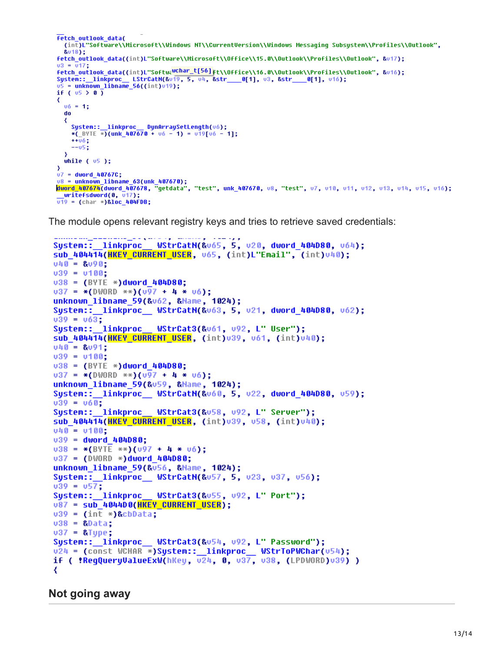```
fetch outlook data(
   (int)L"Software\\Microsoft\\Windows NT\\CurrentVersion\\Windows Messaging Subsystem\\Profiles\\Outlook",
   &018);
fetch outlook data((int)L"Software\\Microsoft\\Office\\15.0\\Outlook\\Profiles\\Outlook", &v17);
v3 = v17:
fetch_outlook_data((int)L"Softwa<sup>wchar_t[56]</sup>ft\\Office\\16.0\\Outlook\\Profiles\\Outlook", &v16);
Petch_outlook_uata((Int)L_Surtwenddd_-1---1Ft\\urrite\\\o.0\\udtiouk\\rruries\\\<br>System::_linkproc__LStrCatN(&v19, 5, v4, &str___0[1], v3, &str___0[1], v16);<br>v5 = unknown_libname_56((int)v19);
if (v5 \n\ge 0)₹
  06 = 1;\bf{d}₹
     System::__linkproc__ DynArraySetLength(v6);
     *(BYTE *)(unk 407670 + v6 - 1) = v19[v6 - 1];
     ++06;--05;
  while ( 05 );
3
07 = dword 40767C;
u8 = unknown libname_63(unk_407670);<br><mark>dword_407674</mark>(dword_407678, "getdata", "test", unk_407670, u8, "test", u7, u10, u11, u12, u13, u14, u15, u16);
  writefsdword(0, v17);\overline{019} = (char *)&loc_404FDB;
```
The module opens relevant registry keys and tries to retrieve saved credentials:

```
System:: linkproc
                 WStrCatN(&v65, 5, v20, dword_404D80, v64);
sub_404414(HKEY_CURRENT_USER, v65, (int)L"Email", (int)v40);
040 = 8090;
039 = 0100:
038 = (BYTE * )dword 404080;0.37 = * (DWORD **)(0.97 + 4 * 0.6);unknown libname 59(&vó2, &Mame, 1024);
System::__linkproc__ WStrCatN(&v63, 5, v21, dword_404D80, v62);
039 = 063;
                 WStrCat3(&v61, v92, L" User");
System:: linkproc
sub 404414(HKEY CURRENT USER, (int) 039, 061, (int) 040);
v40 = 8v91;
v39 = v100;038 = (BYTE *)dword_404080;0.37 = * (DWORD **)(0.97 + 4 * 0.6);unknown libname 59(&u59, &Mame, 1024);
039 = 060;System:: linkproc
                 WStrCat3(&u58, u92, L' Server");
sub 404414(HKEY CURRENT USER, (int)039, 058, (int)040);
v40 = v100;
039 = dword 404D80;
038 = * (BYTE **)(097 + 4 * 06);037 = (DWORD *)dword 404D80;unknown libname 59(&u56, &Mame, 1024);
039 = 057;
System:: linkproc
                 WStrCat3(&u55, u92, L" Port");
U87 = SUb 4044D0(HKEY CURRENT USER);
v39 = (int *){\text{R}}cbData;v38 =&Data:
v37 = &Type;
u24 = (const WCHAR *)System::__linkproc__ WStrToPWChar(u54);
if ( !RegQueryValueExW(hKey, v24, 0, v37, v38, (LPDWORD)v39) )
₹
```
**Not going away**